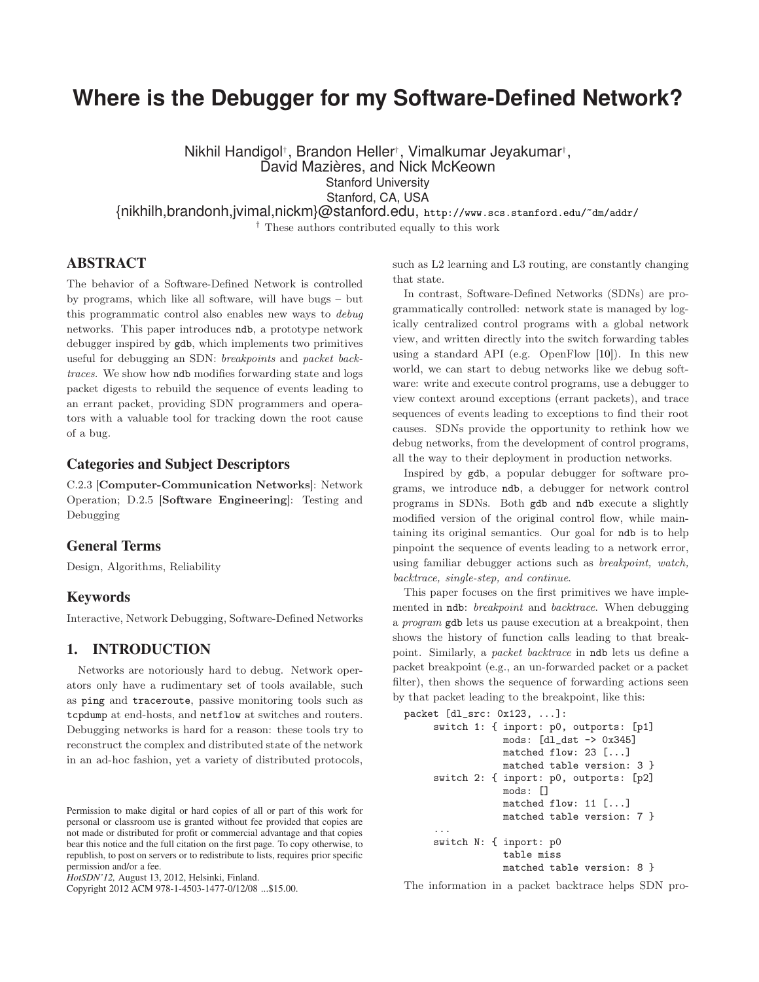# **Where is the Debugger for my Software-Defined Network?**

Nikhil Handigol<sup>†</sup>, Brandon Heller<sup>†</sup>, Vimalkumar Jeyakumar<sup>†</sup>, David Mazières, and Nick McKeown

Stanford University Stanford, CA, USA

{nikhilh,brandonh,jvimal,nickm}@stanford.edu, <http://www.scs.stanford.edu/~dm/addr/>

† These authors contributed equally to this work

# **ABSTRACT**

The behavior of a Software-Defined Network is controlled by programs, which like all software, will have bugs – but this programmatic control also enables new ways to debug networks. This paper introduces ndb, a prototype network debugger inspired by gdb, which implements two primitives useful for debugging an SDN: breakpoints and packet backtraces. We show how ndb modifies forwarding state and logs packet digests to rebuild the sequence of events leading to an errant packet, providing SDN programmers and operators with a valuable tool for tracking down the root cause of a bug.

#### **Categories and Subject Descriptors**

C.2.3 [Computer-Communication Networks]: Network Operation; D.2.5 [Software Engineering]: Testing and Debugging

## **General Terms**

Design, Algorithms, Reliability

#### **Keywords**

Interactive, Network Debugging, Software-Defined Networks

# **1. INTRODUCTION**

Networks are notoriously hard to debug. Network operators only have a rudimentary set of tools available, such as ping and traceroute, passive monitoring tools such as tcpdump at end-hosts, and netflow at switches and routers. Debugging networks is hard for a reason: these tools try to reconstruct the complex and distributed state of the network in an ad-hoc fashion, yet a variety of distributed protocols,

Copyright 2012 ACM 978-1-4503-1477-0/12/08 ...\$15.00.

such as L2 learning and L3 routing, are constantly changing that state.

In contrast, Software-Defined Networks (SDNs) are programmatically controlled: network state is managed by logically centralized control programs with a global network view, and written directly into the switch forwarding tables using a standard API (e.g. OpenFlow [\[10](#page-5-0)]). In this new world, we can start to debug networks like we debug software: write and execute control programs, use a debugger to view context around exceptions (errant packets), and trace sequences of events leading to exceptions to find their root causes. SDNs provide the opportunity to rethink how we debug networks, from the development of control programs, all the way to their deployment in production networks.

Inspired by gdb, a popular debugger for software programs, we introduce ndb, a debugger for network control programs in SDNs. Both gdb and ndb execute a slightly modified version of the original control flow, while maintaining its original semantics. Our goal for ndb is to help pinpoint the sequence of events leading to a network error, using familiar debugger actions such as breakpoint, watch, backtrace, single-step, and continue.

This paper focuses on the first primitives we have implemented in ndb: breakpoint and backtrace. When debugging a program gdb lets us pause execution at a breakpoint, then shows the history of function calls leading to that breakpoint. Similarly, a packet backtrace in ndb lets us define a packet breakpoint (e.g., an un-forwarded packet or a packet filter), then shows the sequence of forwarding actions seen by that packet leading to the breakpoint, like this:

```
packet [dl_src: 0x123, ...]:
    switch 1: { inport: p0, outports: [p1]
                mods: [dl_dst -> 0x345]
                matched flow: 23 [...]
                matched table version: 3 }
    switch 2: { inport: p0, outports: [p2]
                mods: []
                matched flow: 11 [...]
                matched table version: 7 }
    ...
    switch N: { inport: p0
                table miss
                matched table version: 8 }
```
The information in a packet backtrace helps SDN pro-

Permission to make digital or hard copies of all or part of this work for personal or classroom use is granted without fee provided that copies are not made or distributed for profit or commercial advantage and that copies bear this notice and the full citation on the first page. To copy otherwise, to republish, to post on servers or to redistribute to lists, requires prior specific permission and/or a fee.

*HotSDN'12,* August 13, 2012, Helsinki, Finland.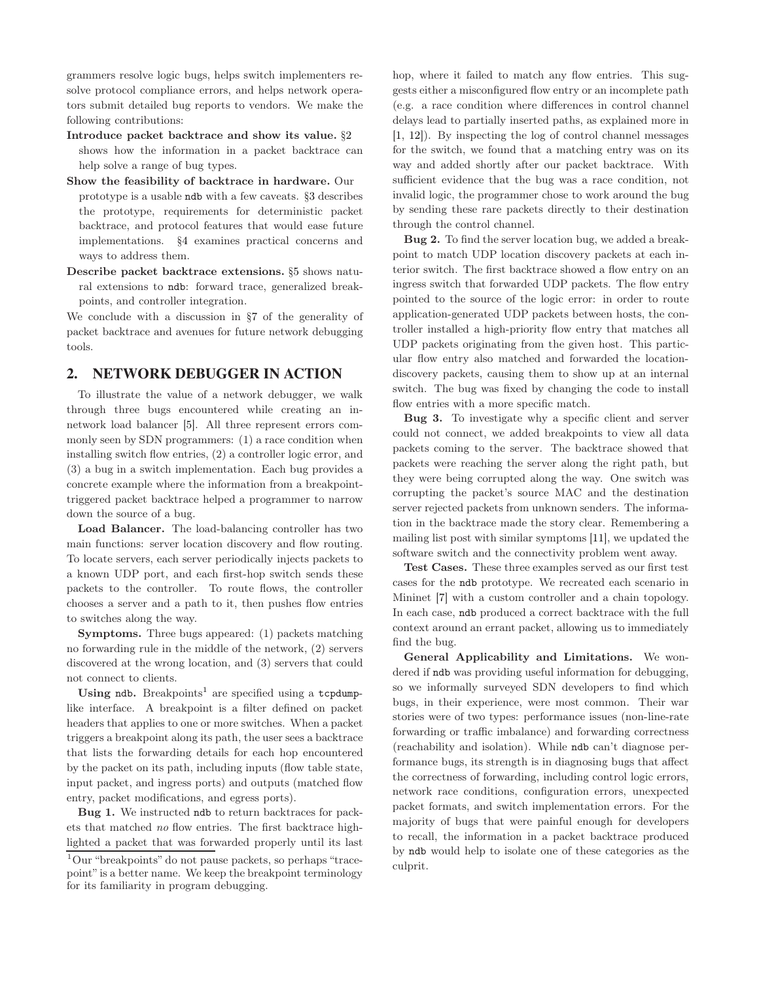grammers resolve logic bugs, helps switch implementers resolve protocol compliance errors, and helps network operators submit detailed bug reports to vendors. We make the following contributions:

Introduce packet backtrace and show its value. [§2](#page-1-0) shows how the information in a packet backtrace can help solve a range of bug types.

- Show the feasibility of backtrace in hardware. Our prototype is a usable ndb with a few caveats. [§3](#page-2-0) describes the prototype, requirements for deterministic packet backtrace, and protocol features that would ease future implementations. [§4](#page-4-0) examines practical concerns and ways to address them.
- Describe packet backtrace extensions. [§5](#page-4-1) shows natural extensions to ndb: forward trace, generalized breakpoints, and controller integration.

We conclude with a discussion in [§7](#page-5-1) of the generality of packet backtrace and avenues for future network debugging tools.

#### <span id="page-1-0"></span>**2. NETWORK DEBUGGER IN ACTION**

To illustrate the value of a network debugger, we walk through three bugs encountered while creating an innetwork load balancer [\[5\]](#page-5-2). All three represent errors commonly seen by SDN programmers: (1) a race condition when installing switch flow entries, (2) a controller logic error, and (3) a bug in a switch implementation. Each bug provides a concrete example where the information from a breakpointtriggered packet backtrace helped a programmer to narrow down the source of a bug.

Load Balancer. The load-balancing controller has two main functions: server location discovery and flow routing. To locate servers, each server periodically injects packets to a known UDP port, and each first-hop switch sends these packets to the controller. To route flows, the controller chooses a server and a path to it, then pushes flow entries to switches along the way.

Symptoms. Three bugs appeared: (1) packets matching no forwarding rule in the middle of the network, (2) servers discovered at the wrong location, and (3) servers that could not connect to clients.

Using ndb. Breakpoints<sup>[1](#page-1-1)</sup> are specified using a tcpdumplike interface. A breakpoint is a filter defined on packet headers that applies to one or more switches. When a packet triggers a breakpoint along its path, the user sees a backtrace that lists the forwarding details for each hop encountered by the packet on its path, including inputs (flow table state, input packet, and ingress ports) and outputs (matched flow entry, packet modifications, and egress ports).

Bug 1. We instructed ndb to return backtraces for packets that matched no flow entries. The first backtrace highlighted a packet that was forwarded properly until its last

hop, where it failed to match any flow entries. This suggests either a misconfigured flow entry or an incomplete path (e.g. a race condition where differences in control channel delays lead to partially inserted paths, as explained more in [\[1](#page-5-3), [12](#page-5-4)]). By inspecting the log of control channel messages for the switch, we found that a matching entry was on its way and added shortly after our packet backtrace. With sufficient evidence that the bug was a race condition, not invalid logic, the programmer chose to work around the bug by sending these rare packets directly to their destination through the control channel.

Bug 2. To find the server location bug, we added a breakpoint to match UDP location discovery packets at each interior switch. The first backtrace showed a flow entry on an ingress switch that forwarded UDP packets. The flow entry pointed to the source of the logic error: in order to route application-generated UDP packets between hosts, the controller installed a high-priority flow entry that matches all UDP packets originating from the given host. This particular flow entry also matched and forwarded the locationdiscovery packets, causing them to show up at an internal switch. The bug was fixed by changing the code to install flow entries with a more specific match.

Bug 3. To investigate why a specific client and server could not connect, we added breakpoints to view all data packets coming to the server. The backtrace showed that packets were reaching the server along the right path, but they were being corrupted along the way. One switch was corrupting the packet's source MAC and the destination server rejected packets from unknown senders. The information in the backtrace made the story clear. Remembering a mailing list post with similar symptoms [\[11](#page-5-5)], we updated the software switch and the connectivity problem went away.

Test Cases. These three examples served as our first test cases for the ndb prototype. We recreated each scenario in Mininet [\[7\]](#page-5-6) with a custom controller and a chain topology. In each case, ndb produced a correct backtrace with the full context around an errant packet, allowing us to immediately find the bug.

General Applicability and Limitations. We wondered if ndb was providing useful information for debugging, so we informally surveyed SDN developers to find which bugs, in their experience, were most common. Their war stories were of two types: performance issues (non-line-rate forwarding or traffic imbalance) and forwarding correctness (reachability and isolation). While ndb can't diagnose performance bugs, its strength is in diagnosing bugs that affect the correctness of forwarding, including control logic errors, network race conditions, configuration errors, unexpected packet formats, and switch implementation errors. For the majority of bugs that were painful enough for developers to recall, the information in a packet backtrace produced by ndb would help to isolate one of these categories as the culprit.

<span id="page-1-1"></span><sup>1</sup>Our "breakpoints" do not pause packets, so perhaps "tracepoint" is a better name. We keep the breakpoint terminology for its familiarity in program debugging.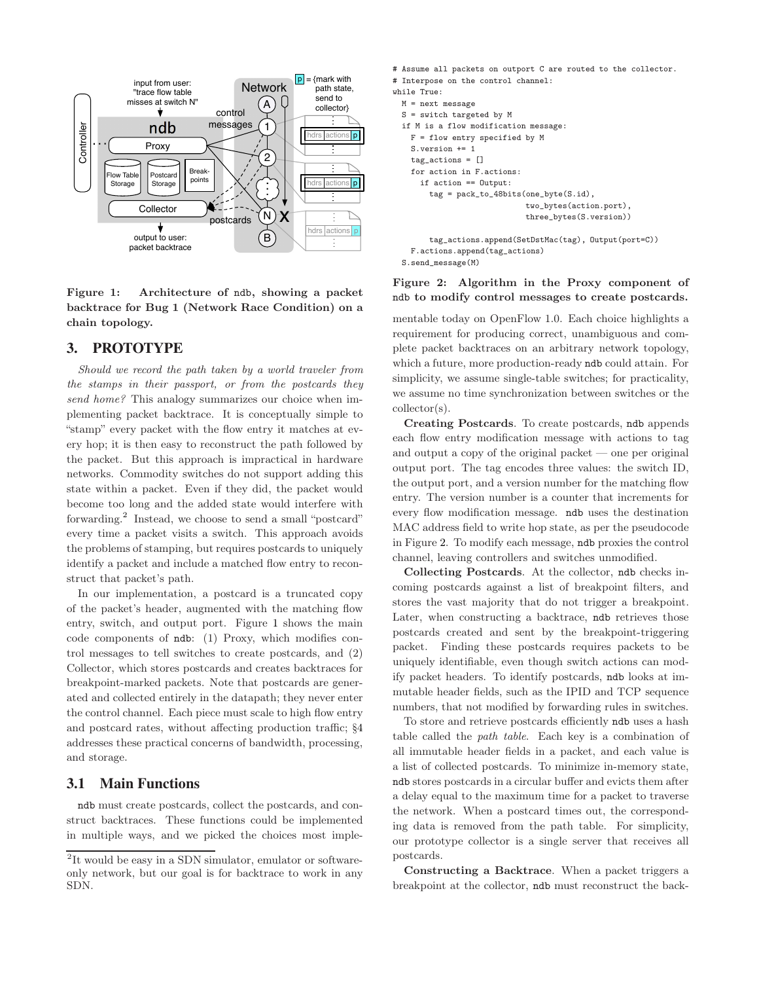

<span id="page-2-2"></span>Figure 1: Architecture of ndb, showing a packet backtrace for Bug 1 (Network Race Condition) on a chain topology.

## <span id="page-2-0"></span>**3. PROTOTYPE**

Should we record the path taken by a world traveler from the stamps in their passport, or from the postcards they send home? This analogy summarizes our choice when implementing packet backtrace. It is conceptually simple to "stamp" every packet with the flow entry it matches at every hop; it is then easy to reconstruct the path followed by the packet. But this approach is impractical in hardware networks. Commodity switches do not support adding this state within a packet. Even if they did, the packet would become too long and the added state would interfere with forwarding.<sup>[2](#page-2-1)</sup> Instead, we choose to send a small "postcard" every time a packet visits a switch. This approach avoids the problems of stamping, but requires postcards to uniquely identify a packet and include a matched flow entry to reconstruct that packet's path.

In our implementation, a postcard is a truncated copy of the packet's header, augmented with the matching flow entry, switch, and output port. Figure [1](#page-2-2) shows the main code components of ndb: (1) Proxy, which modifies control messages to tell switches to create postcards, and (2) Collector, which stores postcards and creates backtraces for breakpoint-marked packets. Note that postcards are generated and collected entirely in the datapath; they never enter the control channel. Each piece must scale to high flow entry and postcard rates, without affecting production traffic; [§4](#page-4-0) addresses these practical concerns of bandwidth, processing, and storage.

## <span id="page-2-4"></span>**3.1 Main Functions**

ndb must create postcards, collect the postcards, and construct backtraces. These functions could be implemented in multiple ways, and we picked the choices most imple# Assume all packets on outport C are routed to the collector.

```
# Interpose on the control channel:
```

```
while True:
M = next message
```

```
S = switch targeted by M
```

```
if M is a flow modification message:
F = flow entry specified by M
S.version += 1
tag_actions = []
for action in F.actions:
  if action == Output:
     tag = pack_to_48bits(one_byte(S.id),
                          two_bytes(action.port),
                          three_bytes(S.version))
     tag_actions.append(SetDstMac(tag), Output(port=C))
```

```
F.actions.append(tag_actions)
```

```
S.send_message(M)
```
#### Figure 2: Algorithm in the Proxy component of ndb to modify control messages to create postcards.

mentable today on OpenFlow 1.0. Each choice highlights a requirement for producing correct, unambiguous and complete packet backtraces on an arbitrary network topology, which a future, more production-ready ndb could attain. For simplicity, we assume single-table switches; for practicality, we assume no time synchronization between switches or the collector(s).

Creating Postcards. To create postcards, ndb appends each flow entry modification message with actions to tag and output a copy of the original packet — one per original output port. The tag encodes three values: the switch ID, the output port, and a version number for the matching flow entry. The version number is a counter that increments for every flow modification message. ndb uses the destination MAC address field to write hop state, as per the pseudocode in Figure [2.](#page-2-3) To modify each message, ndb proxies the control channel, leaving controllers and switches unmodified.

Collecting Postcards. At the collector, ndb checks incoming postcards against a list of breakpoint filters, and stores the vast majority that do not trigger a breakpoint. Later, when constructing a backtrace, ndb retrieves those postcards created and sent by the breakpoint-triggering packet. Finding these postcards requires packets to be uniquely identifiable, even though switch actions can modify packet headers. To identify postcards, ndb looks at immutable header fields, such as the IPID and TCP sequence numbers, that not modified by forwarding rules in switches.

To store and retrieve postcards efficiently ndb uses a hash table called the path table. Each key is a combination of all immutable header fields in a packet, and each value is a list of collected postcards. To minimize in-memory state, ndb stores postcards in a circular buffer and evicts them after a delay equal to the maximum time for a packet to traverse the network. When a postcard times out, the corresponding data is removed from the path table. For simplicity, our prototype collector is a single server that receives all postcards.

Constructing a Backtrace. When a packet triggers a breakpoint at the collector, ndb must reconstruct the back-

<span id="page-2-1"></span><sup>&</sup>lt;sup>2</sup>It would be easy in a SDN simulator, emulator or softwareonly network, but our goal is for backtrace to work in any SDN.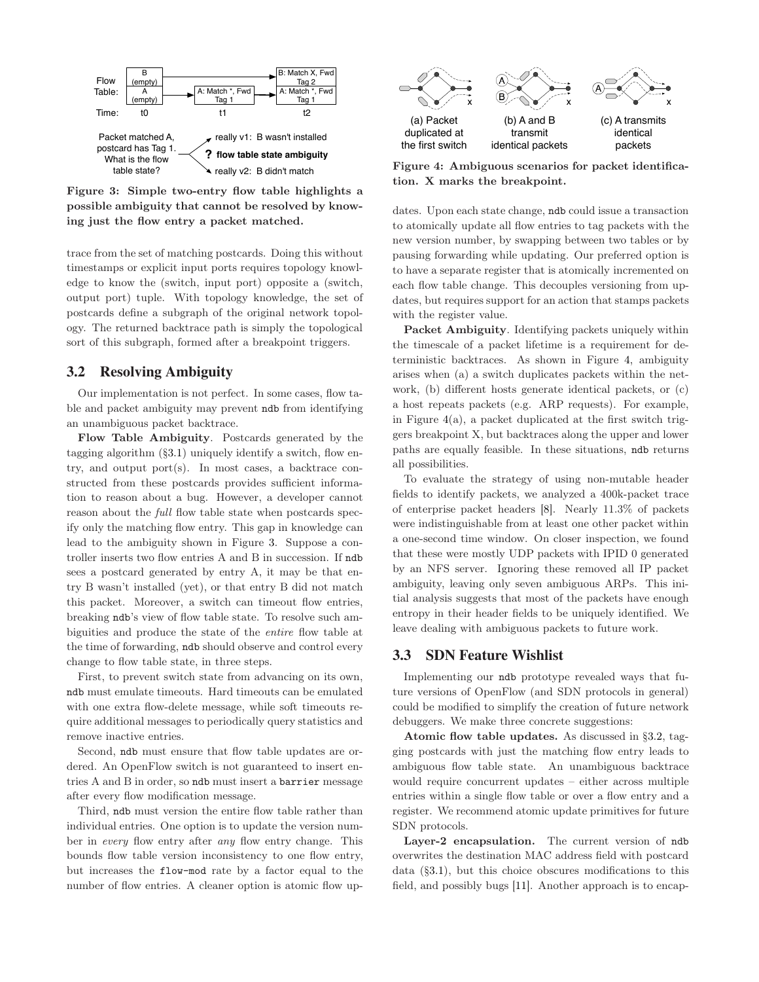

<span id="page-3-0"></span>Figure 3: Simple two-entry flow table highlights a possible ambiguity that cannot be resolved by knowing just the flow entry a packet matched.

trace from the set of matching postcards. Doing this without timestamps or explicit input ports requires topology knowledge to know the (switch, input port) opposite a (switch, output port) tuple. With topology knowledge, the set of postcards define a subgraph of the original network topology. The returned backtrace path is simply the topological sort of this subgraph, formed after a breakpoint triggers.

#### <span id="page-3-2"></span>**3.2 Resolving Ambiguity**

Our implementation is not perfect. In some cases, flow table and packet ambiguity may prevent ndb from identifying an unambiguous packet backtrace.

Flow Table Ambiguity. Postcards generated by the tagging algorithm  $(\S3.1)$  uniquely identify a switch, flow entry, and output port(s). In most cases, a backtrace constructed from these postcards provides sufficient information to reason about a bug. However, a developer cannot reason about the full flow table state when postcards specify only the matching flow entry. This gap in knowledge can lead to the ambiguity shown in Figure [3.](#page-3-0) Suppose a controller inserts two flow entries A and B in succession. If ndb sees a postcard generated by entry A, it may be that entry B wasn't installed (yet), or that entry B did not match this packet. Moreover, a switch can timeout flow entries, breaking ndb's view of flow table state. To resolve such ambiguities and produce the state of the entire flow table at the time of forwarding, ndb should observe and control every change to flow table state, in three steps.

First, to prevent switch state from advancing on its own, ndb must emulate timeouts. Hard timeouts can be emulated with one extra flow-delete message, while soft timeouts require additional messages to periodically query statistics and remove inactive entries.

Second, ndb must ensure that flow table updates are ordered. An OpenFlow switch is not guaranteed to insert entries A and B in order, so ndb must insert a barrier message after every flow modification message.

Third, ndb must version the entire flow table rather than individual entries. One option is to update the version number in every flow entry after any flow entry change. This bounds flow table version inconsistency to one flow entry, but increases the flow-mod rate by a factor equal to the number of flow entries. A cleaner option is atomic flow up-



<span id="page-3-1"></span>Figure 4: Ambiguous scenarios for packet identification. X marks the breakpoint.

dates. Upon each state change, ndb could issue a transaction to atomically update all flow entries to tag packets with the new version number, by swapping between two tables or by pausing forwarding while updating. Our preferred option is to have a separate register that is atomically incremented on each flow table change. This decouples versioning from updates, but requires support for an action that stamps packets with the register value.

Packet Ambiguity. Identifying packets uniquely within the timescale of a packet lifetime is a requirement for deterministic backtraces. As shown in Figure [4,](#page-3-1) ambiguity arises when (a) a switch duplicates packets within the network, (b) different hosts generate identical packets, or (c) a host repeats packets (e.g. ARP requests). For example, in Figure  $4(a)$  $4(a)$ , a packet duplicated at the first switch triggers breakpoint X, but backtraces along the upper and lower paths are equally feasible. In these situations, ndb returns all possibilities.

To evaluate the strategy of using non-mutable header fields to identify packets, we analyzed a 400k-packet trace of enterprise packet headers [\[8](#page-5-7)]. Nearly 11.3% of packets were indistinguishable from at least one other packet within a one-second time window. On closer inspection, we found that these were mostly UDP packets with IPID 0 generated by an NFS server. Ignoring these removed all IP packet ambiguity, leaving only seven ambiguous ARPs. This initial analysis suggests that most of the packets have enough entropy in their header fields to be uniquely identified. We leave dealing with ambiguous packets to future work.

## **3.3 SDN Feature Wishlist**

Implementing our ndb prototype revealed ways that future versions of OpenFlow (and SDN protocols in general) could be modified to simplify the creation of future network debuggers. We make three concrete suggestions:

Atomic flow table updates. As discussed in [§3.2,](#page-3-0) tagging postcards with just the matching flow entry leads to ambiguous flow table state. An unambiguous backtrace would require concurrent updates – either across multiple entries within a single flow table or over a flow entry and a register. We recommend atomic update primitives for future SDN protocols.

Layer-2 encapsulation. The current version of ndb overwrites the destination MAC address field with postcard data ([§3.1\)](#page-2-4), but this choice obscures modifications to this field, and possibly bugs [\[11](#page-5-5)]. Another approach is to encap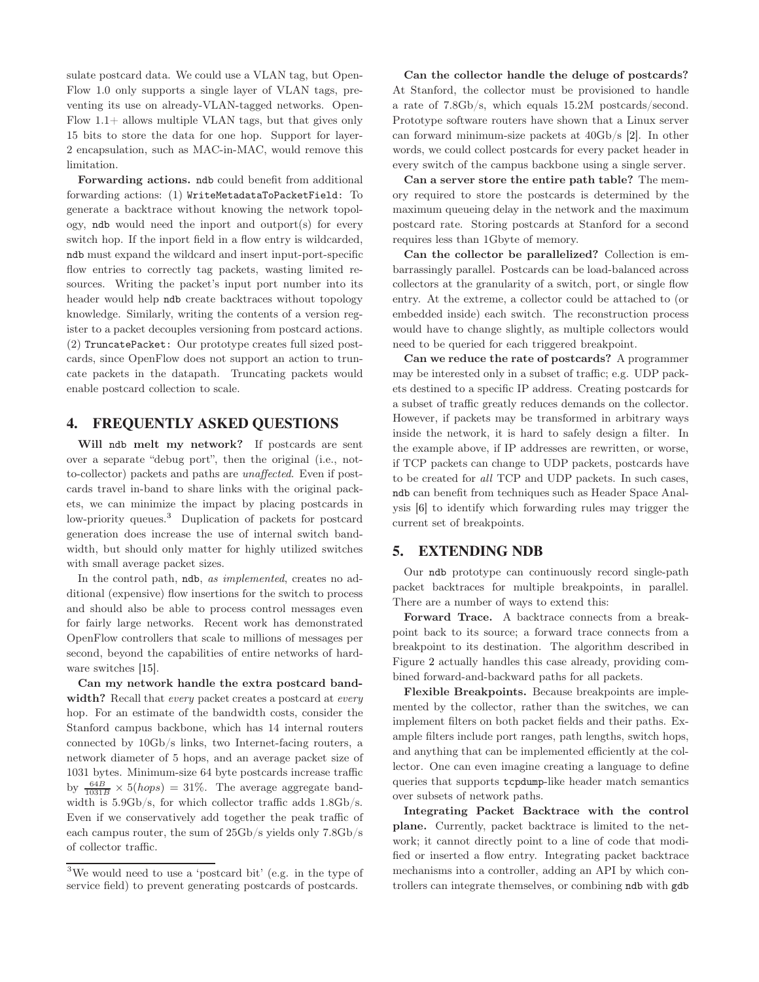sulate postcard data. We could use a VLAN tag, but Open-Flow 1.0 only supports a single layer of VLAN tags, preventing its use on already-VLAN-tagged networks. Open-Flow 1.1+ allows multiple VLAN tags, but that gives only 15 bits to store the data for one hop. Support for layer-2 encapsulation, such as MAC-in-MAC, would remove this limitation.

Forwarding actions. ndb could benefit from additional forwarding actions: (1) WriteMetadataToPacketField: To generate a backtrace without knowing the network topology, ndb would need the inport and outport(s) for every switch hop. If the inport field in a flow entry is wildcarded, ndb must expand the wildcard and insert input-port-specific flow entries to correctly tag packets, wasting limited resources. Writing the packet's input port number into its header would help ndb create backtraces without topology knowledge. Similarly, writing the contents of a version register to a packet decouples versioning from postcard actions. (2) TruncatePacket: Our prototype creates full sized postcards, since OpenFlow does not support an action to truncate packets in the datapath. Truncating packets would enable postcard collection to scale.

#### <span id="page-4-0"></span>**4. FREQUENTLY ASKED QUESTIONS**

Will ndb melt my network? If postcards are sent over a separate "debug port", then the original (i.e., notto-collector) packets and paths are unaffected. Even if postcards travel in-band to share links with the original packets, we can minimize the impact by placing postcards in low-priority queues.[3](#page-4-2) Duplication of packets for postcard generation does increase the use of internal switch bandwidth, but should only matter for highly utilized switches with small average packet sizes.

In the control path, ndb, as implemented, creates no additional (expensive) flow insertions for the switch to process and should also be able to process control messages even for fairly large networks. Recent work has demonstrated OpenFlow controllers that scale to millions of messages per second, beyond the capabilities of entire networks of hardware switches [\[15](#page-5-8)].

Can my network handle the extra postcard bandwidth? Recall that every packet creates a postcard at every hop. For an estimate of the bandwidth costs, consider the Stanford campus backbone, which has 14 internal routers connected by 10Gb/s links, two Internet-facing routers, a network diameter of 5 hops, and an average packet size of 1031 bytes. Minimum-size 64 byte postcards increase traffic by  $\frac{64B}{1031B} \times 5(hops) = 31\%$ . The average aggregate bandwidth is 5.9Gb/s, for which collector traffic adds 1.8Gb/s. Even if we conservatively add together the peak traffic of each campus router, the sum of 25Gb/s yields only 7.8Gb/s of collector traffic.

Can the collector handle the deluge of postcards? At Stanford, the collector must be provisioned to handle a rate of 7.8Gb/s, which equals 15.2M postcards/second. Prototype software routers have shown that a Linux server can forward minimum-size packets at 40Gb/s [\[2](#page-5-9)]. In other words, we could collect postcards for every packet header in every switch of the campus backbone using a single server.

Can a server store the entire path table? The memory required to store the postcards is determined by the maximum queueing delay in the network and the maximum postcard rate. Storing postcards at Stanford for a second requires less than 1Gbyte of memory.

Can the collector be parallelized? Collection is embarrassingly parallel. Postcards can be load-balanced across collectors at the granularity of a switch, port, or single flow entry. At the extreme, a collector could be attached to (or embedded inside) each switch. The reconstruction process would have to change slightly, as multiple collectors would need to be queried for each triggered breakpoint.

Can we reduce the rate of postcards? A programmer may be interested only in a subset of traffic; e.g. UDP packets destined to a specific IP address. Creating postcards for a subset of traffic greatly reduces demands on the collector. However, if packets may be transformed in arbitrary ways inside the network, it is hard to safely design a filter. In the example above, if IP addresses are rewritten, or worse, if TCP packets can change to UDP packets, postcards have to be created for all TCP and UDP packets. In such cases, ndb can benefit from techniques such as Header Space Analysis [\[6](#page-5-10)] to identify which forwarding rules may trigger the current set of breakpoints.

## <span id="page-4-1"></span>**5. EXTENDING NDB**

Our ndb prototype can continuously record single-path packet backtraces for multiple breakpoints, in parallel. There are a number of ways to extend this:

Forward Trace. A backtrace connects from a breakpoint back to its source; a forward trace connects from a breakpoint to its destination. The algorithm described in Figure [2](#page-2-3) actually handles this case already, providing combined forward-and-backward paths for all packets.

Flexible Breakpoints. Because breakpoints are implemented by the collector, rather than the switches, we can implement filters on both packet fields and their paths. Example filters include port ranges, path lengths, switch hops, and anything that can be implemented efficiently at the collector. One can even imagine creating a language to define queries that supports tcpdump-like header match semantics over subsets of network paths.

Integrating Packet Backtrace with the control plane. Currently, packet backtrace is limited to the network; it cannot directly point to a line of code that modified or inserted a flow entry. Integrating packet backtrace mechanisms into a controller, adding an API by which controllers can integrate themselves, or combining ndb with gdb

<span id="page-4-2"></span><sup>3</sup>We would need to use a 'postcard bit' (e.g. in the type of service field) to prevent generating postcards of postcards.